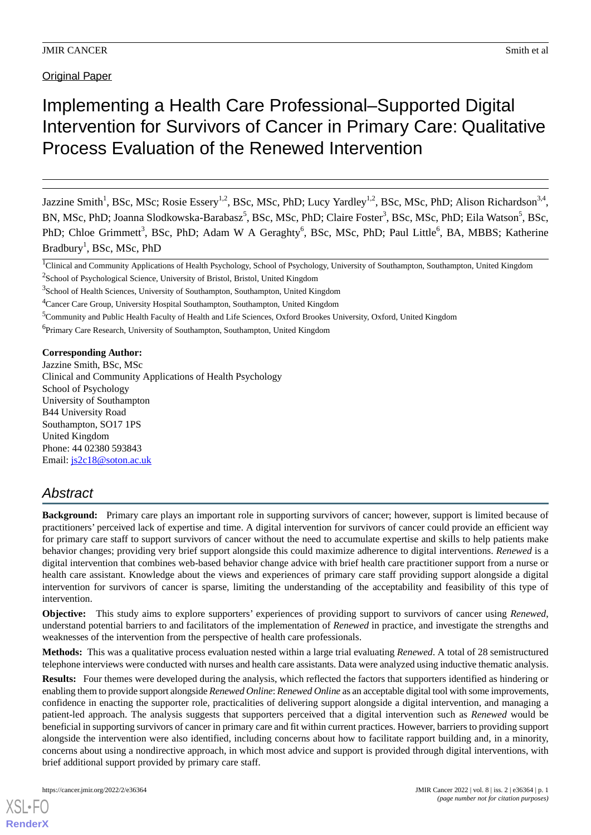Original Paper

# Implementing a Health Care Professional–Supported Digital Intervention for Survivors of Cancer in Primary Care: Qualitative Process Evaluation of the Renewed Intervention

Jazzine Smith<sup>1</sup>, BSc, MSc; Rosie Essery<sup>1,2</sup>, BSc, MSc, PhD; Lucy Yardley<sup>1,2</sup>, BSc, MSc, PhD; Alison Richardson<sup>3,4</sup>, BN, MSc, PhD; Joanna Slodkowska-Barabasz<sup>5</sup>, BSc, MSc, PhD; Claire Foster<sup>3</sup>, BSc, MSc, PhD; Eila Watson<sup>5</sup>, BSc, PhD; Chloe Grimmett<sup>3</sup>, BSc, PhD; Adam W A Geraghty<sup>6</sup>, BSc, MSc, PhD; Paul Little<sup>6</sup>, BA, MBBS; Katherine Bradbury<sup>1</sup>, BSc, MSc, PhD

<sup>1</sup>Clinical and Community Applications of Health Psychology, School of Psychology, University of Southampton, Southampton, United Kingdom <sup>2</sup>School of Psychological Science, University of Bristol, Bristol, United Kingdom

<sup>6</sup>Primary Care Research, University of Southampton, Southampton, United Kingdom

**Corresponding Author:**

Jazzine Smith, BSc, MSc Clinical and Community Applications of Health Psychology School of Psychology University of Southampton B44 University Road Southampton, SO17 1PS United Kingdom Phone: 44 02380 593843 Email: [js2c18@soton.ac.uk](mailto:js2c18@soton.ac.uk)

# *Abstract*

**Background:** Primary care plays an important role in supporting survivors of cancer; however, support is limited because of practitioners' perceived lack of expertise and time. A digital intervention for survivors of cancer could provide an efficient way for primary care staff to support survivors of cancer without the need to accumulate expertise and skills to help patients make behavior changes; providing very brief support alongside this could maximize adherence to digital interventions. *Renewed* is a digital intervention that combines web-based behavior change advice with brief health care practitioner support from a nurse or health care assistant. Knowledge about the views and experiences of primary care staff providing support alongside a digital intervention for survivors of cancer is sparse, limiting the understanding of the acceptability and feasibility of this type of intervention.

**Objective:** This study aims to explore supporters' experiences of providing support to survivors of cancer using *Renewed*, understand potential barriers to and facilitators of the implementation of *Renewed* in practice, and investigate the strengths and weaknesses of the intervention from the perspective of health care professionals.

**Methods:** This was a qualitative process evaluation nested within a large trial evaluating *Renewed*. A total of 28 semistructured telephone interviews were conducted with nurses and health care assistants. Data were analyzed using inductive thematic analysis.

**Results:** Four themes were developed during the analysis, which reflected the factors that supporters identified as hindering or enabling them to provide support alongside *Renewed Online*: *Renewed Online* as an acceptable digital tool with some improvements, confidence in enacting the supporter role, practicalities of delivering support alongside a digital intervention, and managing a patient-led approach. The analysis suggests that supporters perceived that a digital intervention such as *Renewed* would be beneficial in supporting survivors of cancer in primary care and fit within current practices. However, barriers to providing support alongside the intervention were also identified, including concerns about how to facilitate rapport building and, in a minority, concerns about using a nondirective approach, in which most advice and support is provided through digital interventions, with brief additional support provided by primary care staff.

<sup>&</sup>lt;sup>3</sup>School of Health Sciences, University of Southampton, Southampton, United Kingdom

<sup>&</sup>lt;sup>4</sup>Cancer Care Group, University Hospital Southampton, Southampton, United Kingdom

<sup>5</sup>Community and Public Health Faculty of Health and Life Sciences, Oxford Brookes University, Oxford, United Kingdom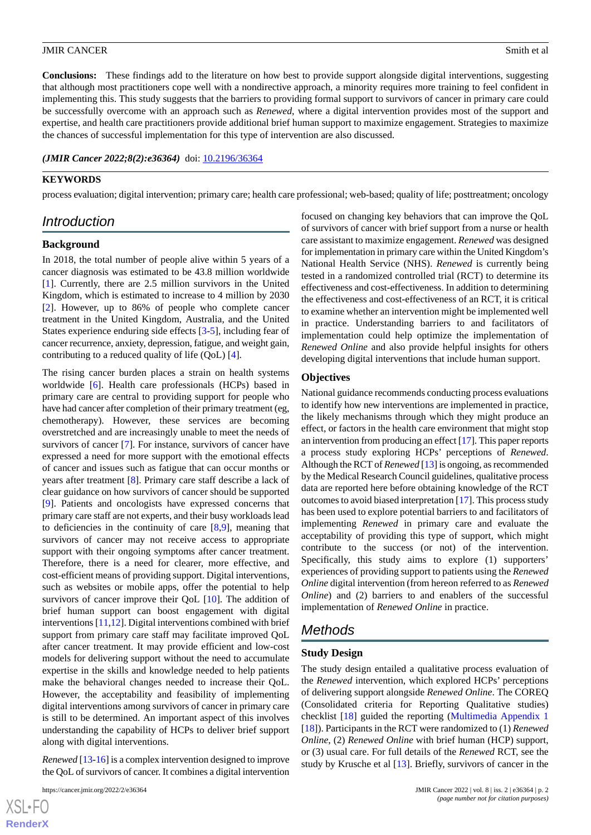**Conclusions:** These findings add to the literature on how best to provide support alongside digital interventions, suggesting that although most practitioners cope well with a nondirective approach, a minority requires more training to feel confident in implementing this. This study suggests that the barriers to providing formal support to survivors of cancer in primary care could be successfully overcome with an approach such as *Renewed*, where a digital intervention provides most of the support and expertise, and health care practitioners provide additional brief human support to maximize engagement. Strategies to maximize the chances of successful implementation for this type of intervention are also discussed.

*(JMIR Cancer 2022;8(2):e36364)* doi: [10.2196/36364](http://dx.doi.org/10.2196/36364)

#### **KEYWORDS**

process evaluation; digital intervention; primary care; health care professional; web-based; quality of life; posttreatment; oncology

# *Introduction*

#### **Background**

In 2018, the total number of people alive within 5 years of a cancer diagnosis was estimated to be 43.8 million worldwide [[1\]](#page-9-0). Currently, there are 2.5 million survivors in the United Kingdom, which is estimated to increase to 4 million by 2030 [[2\]](#page-9-1). However, up to 86% of people who complete cancer treatment in the United Kingdom, Australia, and the United States experience enduring side effects [\[3](#page-9-2)-[5\]](#page-9-3), including fear of cancer recurrence, anxiety, depression, fatigue, and weight gain, contributing to a reduced quality of life (QoL) [[4\]](#page-9-4).

The rising cancer burden places a strain on health systems worldwide [[6\]](#page-10-0). Health care professionals (HCPs) based in primary care are central to providing support for people who have had cancer after completion of their primary treatment (eg, chemotherapy). However, these services are becoming overstretched and are increasingly unable to meet the needs of survivors of cancer [\[7](#page-10-1)]. For instance, survivors of cancer have expressed a need for more support with the emotional effects of cancer and issues such as fatigue that can occur months or years after treatment [[8\]](#page-10-2). Primary care staff describe a lack of clear guidance on how survivors of cancer should be supported [[9\]](#page-10-3). Patients and oncologists have expressed concerns that primary care staff are not experts, and their busy workloads lead to deficiencies in the continuity of care [[8,](#page-10-2)[9](#page-10-3)], meaning that survivors of cancer may not receive access to appropriate support with their ongoing symptoms after cancer treatment. Therefore, there is a need for clearer, more effective, and cost-efficient means of providing support. Digital interventions, such as websites or mobile apps, offer the potential to help survivors of cancer improve their QoL [\[10](#page-10-4)]. The addition of brief human support can boost engagement with digital interventions [\[11](#page-10-5),[12\]](#page-10-6). Digital interventions combined with brief support from primary care staff may facilitate improved QoL after cancer treatment. It may provide efficient and low-cost models for delivering support without the need to accumulate expertise in the skills and knowledge needed to help patients make the behavioral changes needed to increase their QoL. However, the acceptability and feasibility of implementing digital interventions among survivors of cancer in primary care is still to be determined. An important aspect of this involves understanding the capability of HCPs to deliver brief support along with digital interventions.

*Renewed* [\[13](#page-10-7)-[16](#page-10-8)] is a complex intervention designed to improve the QoL of survivors of cancer. It combines a digital intervention

 $XS$ -FO **[RenderX](http://www.renderx.com/)** focused on changing key behaviors that can improve the QoL of survivors of cancer with brief support from a nurse or health care assistant to maximize engagement. *Renewed* was designed for implementation in primary care within the United Kingdom's National Health Service (NHS). *Renewed* is currently being tested in a randomized controlled trial (RCT) to determine its effectiveness and cost-effectiveness. In addition to determining the effectiveness and cost-effectiveness of an RCT, it is critical to examine whether an intervention might be implemented well in practice. Understanding barriers to and facilitators of implementation could help optimize the implementation of *Renewed Online* and also provide helpful insights for others developing digital interventions that include human support.

#### **Objectives**

National guidance recommends conducting process evaluations to identify how new interventions are implemented in practice, the likely mechanisms through which they might produce an effect, or factors in the health care environment that might stop an intervention from producing an effect [\[17\]](#page-10-9). This paper reports a process study exploring HCPs' perceptions of *Renewed*. Although the RCT of *Renewed* [[13](#page-10-7)] is ongoing, as recommended by the Medical Research Council guidelines, qualitative process data are reported here before obtaining knowledge of the RCT outcomes to avoid biased interpretation [\[17](#page-10-9)]. This process study has been used to explore potential barriers to and facilitators of implementing *Renewed* in primary care and evaluate the acceptability of providing this type of support, which might contribute to the success (or not) of the intervention. Specifically, this study aims to explore (1) supporters' experiences of providing support to patients using the *Renewed Online* digital intervention (from hereon referred to as *Renewed Online*) and (2) barriers to and enablers of the successful implementation of *Renewed Online* in practice.

# *Methods*

#### **Study Design**

The study design entailed a qualitative process evaluation of the *Renewed* intervention, which explored HCPs' perceptions of delivering support alongside *Renewed Online*. The COREQ (Consolidated criteria for Reporting Qualitative studies) checklist [\[18](#page-10-10)] guided the reporting [\(Multimedia Appendix 1](#page-9-5) [[18\]](#page-10-10)). Participants in the RCT were randomized to (1) *Renewed Online*, (2) *Renewed Online* with brief human (HCP) support, or (3) usual care. For full details of the *Renewed* RCT, see the study by Krusche et al [[13\]](#page-10-7). Briefly, survivors of cancer in the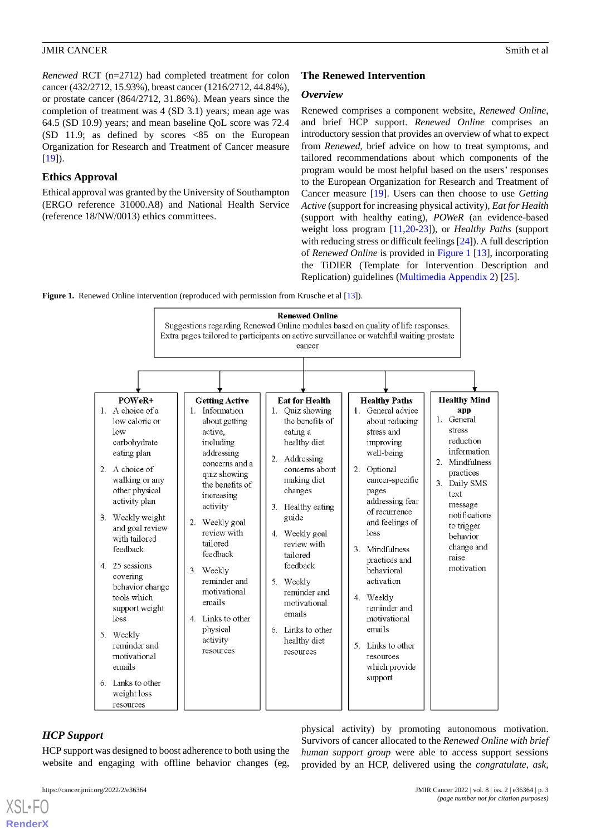*Renewed* RCT (n=2712) had completed treatment for colon cancer (432/2712, 15.93%), breast cancer (1216/2712, 44.84%), or prostate cancer (864/2712, 31.86%). Mean years since the completion of treatment was 4 (SD 3.1) years; mean age was 64.5 (SD 10.9) years; and mean baseline QoL score was 72.4 (SD 11.9; as defined by scores <85 on the European Organization for Research and Treatment of Cancer measure  $[19]$  $[19]$ .

# **Ethics Approval**

Ethical approval was granted by the University of Southampton (ERGO reference 31000.A8) and National Health Service (reference 18/NW/0013) ethics committees.

# **The Renewed Intervention**

# *Overview*

Renewed comprises a component website, *Renewed Online*, and brief HCP support. *Renewed Online* comprises an introductory session that provides an overview of what to expect from *Renewed*, brief advice on how to treat symptoms, and tailored recommendations about which components of the program would be most helpful based on the users' responses to the European Organization for Research and Treatment of Cancer measure [\[19](#page-10-11)]. Users can then choose to use *Getting Active* (support for increasing physical activity), *Eat for Health* (support with healthy eating), *POWeR* (an evidence-based weight loss program [[11](#page-10-5)[,20](#page-10-12)-[23\]](#page-10-13)), or *Healthy Paths* (support with reducing stress or difficult feelings [\[24](#page-10-14)]). A full description of *Renewed Online* is provided in [Figure 1](#page-2-0) [\[13](#page-10-7)], incorporating the TiDIER (Template for Intervention Description and Replication) guidelines [\(Multimedia Appendix 2\)](#page-9-6) [[25\]](#page-10-15).

<span id="page-2-0"></span>**Figure 1.** Renewed Online intervention (reproduced with permission from Krusche et al [\[13\]](#page-10-7)).



# *HCP Support*

[XSL](http://www.w3.org/Style/XSL)•FO **[RenderX](http://www.renderx.com/)**

HCP support was designed to boost adherence to both using the website and engaging with offline behavior changes (eg,

physical activity) by promoting autonomous motivation. Survivors of cancer allocated to the *Renewed Online with brief human support group* were able to access support sessions provided by an HCP, delivered using the *congratulate, ask,*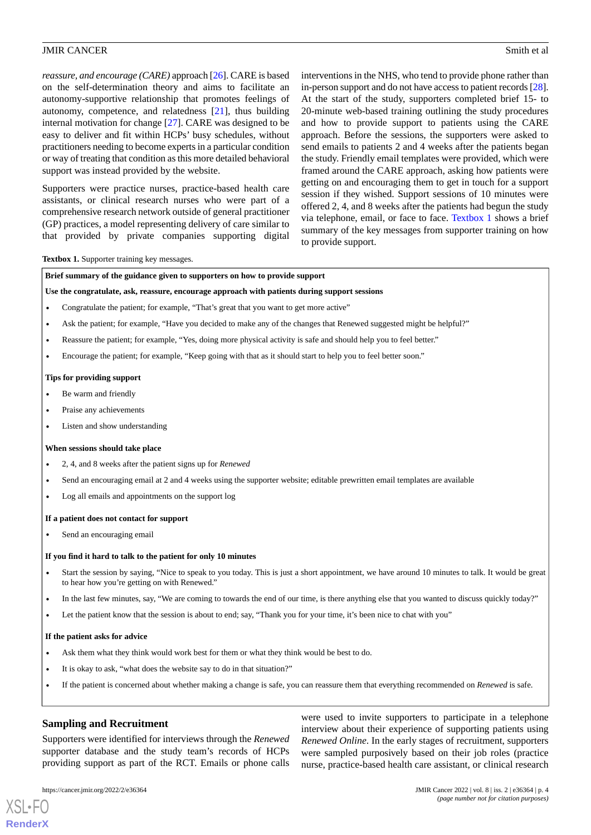*reassure, and encourage (CARE)* approach [[26\]](#page-10-16). CARE is based on the self-determination theory and aims to facilitate an autonomy-supportive relationship that promotes feelings of autonomy, competence, and relatedness [\[21](#page-10-17)], thus building internal motivation for change [[27\]](#page-11-0). CARE was designed to be easy to deliver and fit within HCPs' busy schedules, without practitioners needing to become experts in a particular condition or way of treating that condition as this more detailed behavioral support was instead provided by the website.

Supporters were practice nurses, practice-based health care assistants, or clinical research nurses who were part of a comprehensive research network outside of general practitioner (GP) practices, a model representing delivery of care similar to that provided by private companies supporting digital interventions in the NHS, who tend to provide phone rather than in-person support and do not have access to patient records [\[28](#page-11-1)]. At the start of the study, supporters completed brief 15- to 20-minute web-based training outlining the study procedures and how to provide support to patients using the CARE approach. Before the sessions, the supporters were asked to send emails to patients 2 and 4 weeks after the patients began the study. Friendly email templates were provided, which were framed around the CARE approach, asking how patients were getting on and encouraging them to get in touch for a support session if they wished. Support sessions of 10 minutes were offered 2, 4, and 8 weeks after the patients had begun the study via telephone, email, or face to face. [Textbox 1](#page-3-0) shows a brief summary of the key messages from supporter training on how to provide support.

#### <span id="page-3-0"></span>**Textbox 1.** Supporter training key messages.

**Brief summary of the guidance given to supporters on how to provide support**

#### **Use the congratulate, ask, reassure, encourage approach with patients during support sessions**

- Congratulate the patient; for example, "That's great that you want to get more active"
- Ask the patient; for example, "Have you decided to make any of the changes that Renewed suggested might be helpful?"
- Reassure the patient; for example, "Yes, doing more physical activity is safe and should help you to feel better."
- Encourage the patient; for example, "Keep going with that as it should start to help you to feel better soon."

#### **Tips for providing support**

- Be warm and friendly
- Praise any achievements
- Listen and show understanding

#### **When sessions should take place**

- 2, 4, and 8 weeks after the patient signs up for *Renewed*
- Send an encouraging email at 2 and 4 weeks using the supporter website; editable prewritten email templates are available
- Log all emails and appointments on the support log

#### **If a patient does not contact for support**

Send an encouraging email

#### **If you find it hard to talk to the patient for only 10 minutes**

- Start the session by saying, "Nice to speak to you today. This is just a short appointment, we have around 10 minutes to talk. It would be great to hear how you're getting on with Renewed."
- In the last few minutes, say, "We are coming to towards the end of our time, is there anything else that you wanted to discuss quickly today?"
- Let the patient know that the session is about to end; say, "Thank you for your time, it's been nice to chat with you"

#### **If the patient asks for advice**

- Ask them what they think would work best for them or what they think would be best to do.
- It is okay to ask, "what does the website say to do in that situation?"
- If the patient is concerned about whether making a change is safe, you can reassure them that everything recommended on *Renewed* is safe.

# **Sampling and Recruitment**

Supporters were identified for interviews through the *Renewed* supporter database and the study team's records of HCPs providing support as part of the RCT. Emails or phone calls

were used to invite supporters to participate in a telephone interview about their experience of supporting patients using *Renewed Online*. In the early stages of recruitment, supporters were sampled purposively based on their job roles (practice nurse, practice-based health care assistant, or clinical research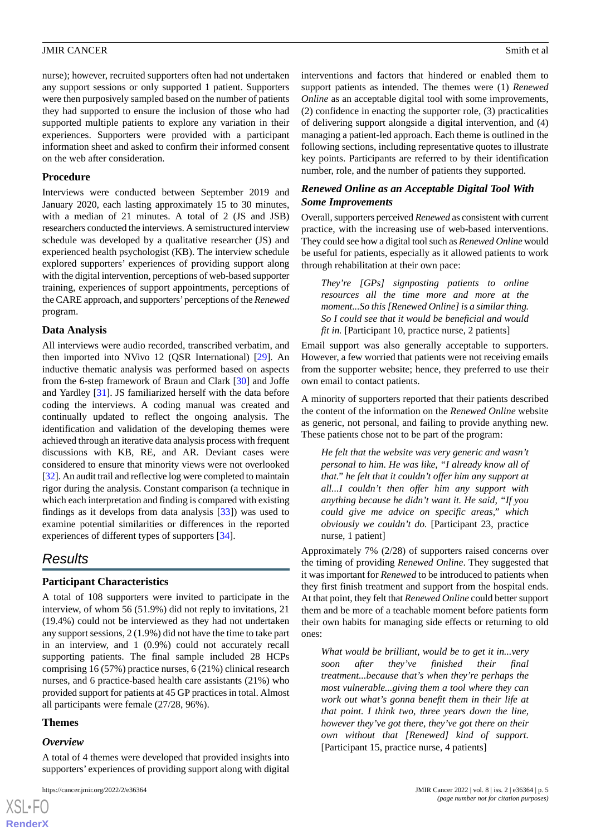nurse); however, recruited supporters often had not undertaken any support sessions or only supported 1 patient. Supporters were then purposively sampled based on the number of patients they had supported to ensure the inclusion of those who had supported multiple patients to explore any variation in their experiences. Supporters were provided with a participant information sheet and asked to confirm their informed consent on the web after consideration.

# **Procedure**

Interviews were conducted between September 2019 and January 2020, each lasting approximately 15 to 30 minutes, with a median of 21 minutes. A total of 2 (JS and JSB) researchers conducted the interviews. A semistructured interview schedule was developed by a qualitative researcher (JS) and experienced health psychologist (KB). The interview schedule explored supporters' experiences of providing support along with the digital intervention, perceptions of web-based supporter training, experiences of support appointments, perceptions of the CARE approach, and supporters'perceptions of the *Renewed* program.

# **Data Analysis**

All interviews were audio recorded, transcribed verbatim, and then imported into NVivo 12 (QSR International) [\[29](#page-11-2)]. An inductive thematic analysis was performed based on aspects from the 6-step framework of Braun and Clark [\[30](#page-11-3)] and Joffe and Yardley [\[31](#page-11-4)]. JS familiarized herself with the data before coding the interviews. A coding manual was created and continually updated to reflect the ongoing analysis. The identification and validation of the developing themes were achieved through an iterative data analysis process with frequent discussions with KB, RE, and AR. Deviant cases were considered to ensure that minority views were not overlooked [[32\]](#page-11-5). An audit trail and reflective log were completed to maintain rigor during the analysis. Constant comparison (a technique in which each interpretation and finding is compared with existing findings as it develops from data analysis [\[33](#page-11-6)]) was used to examine potential similarities or differences in the reported experiences of different types of supporters [[34\]](#page-11-7).

# *Results*

# **Participant Characteristics**

A total of 108 supporters were invited to participate in the interview, of whom 56 (51.9%) did not reply to invitations, 21 (19.4%) could not be interviewed as they had not undertaken any support sessions, 2 (1.9%) did not have the time to take part in an interview, and 1 (0.9%) could not accurately recall supporting patients. The final sample included 28 HCPs comprising 16 (57%) practice nurses, 6 (21%) clinical research nurses, and 6 practice-based health care assistants (21%) who provided support for patients at 45 GP practices in total. Almost all participants were female (27/28, 96%).

# **Themes**

#### *Overview*

[XSL](http://www.w3.org/Style/XSL)•FO **[RenderX](http://www.renderx.com/)**

A total of 4 themes were developed that provided insights into supporters' experiences of providing support along with digital

interventions and factors that hindered or enabled them to support patients as intended. The themes were (1) *Renewed Online* as an acceptable digital tool with some improvements, (2) confidence in enacting the supporter role, (3) practicalities of delivering support alongside a digital intervention, and (4) managing a patient-led approach. Each theme is outlined in the following sections, including representative quotes to illustrate key points. Participants are referred to by their identification number, role, and the number of patients they supported.

# *Renewed Online as an Acceptable Digital Tool With Some Improvements*

Overall, supporters perceived *Renewed* as consistent with current practice, with the increasing use of web-based interventions. They could see how a digital tool such as *Renewed Online* would be useful for patients, especially as it allowed patients to work through rehabilitation at their own pace:

*They're [GPs] signposting patients to online resources all the time more and more at the moment...So this [Renewed Online] is a similar thing. So I could see that it would be beneficial and would fit in.* [Participant 10, practice nurse, 2 patients]

Email support was also generally acceptable to supporters. However, a few worried that patients were not receiving emails from the supporter website; hence, they preferred to use their own email to contact patients.

A minority of supporters reported that their patients described the content of the information on the *Renewed Online* website as generic, not personal, and failing to provide anything new. These patients chose not to be part of the program:

*He felt that the website was very generic and wasn't personal to him. He was like, "I already know all of that." he felt that it couldn't offer him any support at all...I couldn't then offer him any support with anything because he didn't want it. He said, "If you could give me advice on specific areas," which obviously we couldn't do.* [Participant 23, practice nurse, 1 patient]

Approximately 7% (2/28) of supporters raised concerns over the timing of providing *Renewed Online*. They suggested that it was important for *Renewed* to be introduced to patients when they first finish treatment and support from the hospital ends. At that point, they felt that *Renewed Online* could better support them and be more of a teachable moment before patients form their own habits for managing side effects or returning to old ones:

*What would be brilliant, would be to get it in...very soon after they've finished their final treatment...because that's when they're perhaps the most vulnerable...giving them a tool where they can work out what's gonna benefit them in their life at that point. I think two, three years down the line, however they've got there, they've got there on their own without that [Renewed] kind of support.* [Participant 15, practice nurse, 4 patients]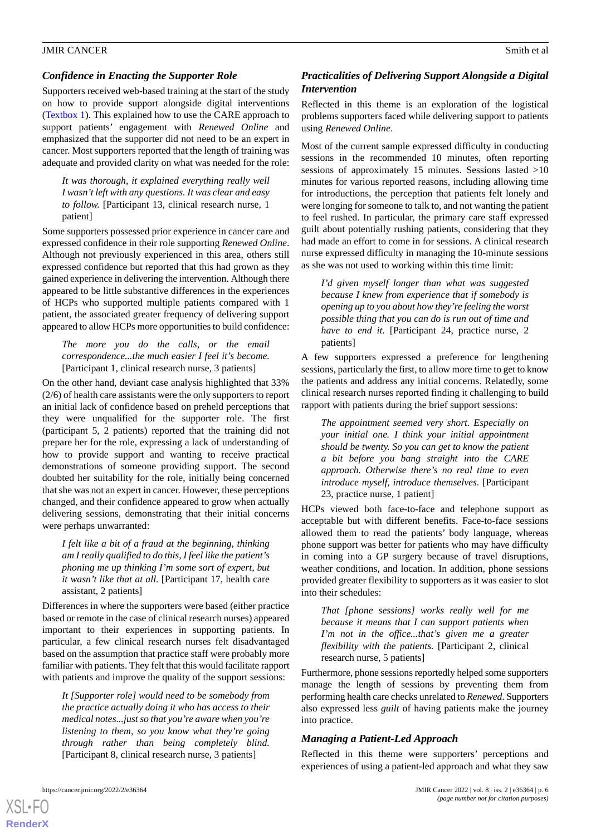# *Confidence in Enacting the Supporter Role*

Supporters received web-based training at the start of the study on how to provide support alongside digital interventions ([Textbox 1\)](#page-3-0). This explained how to use the CARE approach to support patients' engagement with *Renewed Online* and emphasized that the supporter did not need to be an expert in cancer. Most supporters reported that the length of training was adequate and provided clarity on what was needed for the role:

*It was thorough, it explained everything really well I wasn't left with any questions. It was clear and easy to follow.* [Participant 13, clinical research nurse, 1 patient]

Some supporters possessed prior experience in cancer care and expressed confidence in their role supporting *Renewed Online*. Although not previously experienced in this area, others still expressed confidence but reported that this had grown as they gained experience in delivering the intervention. Although there appeared to be little substantive differences in the experiences of HCPs who supported multiple patients compared with 1 patient, the associated greater frequency of delivering support appeared to allow HCPs more opportunities to build confidence:

# *The more you do the calls, or the email correspondence...the much easier I feel it's become.* [Participant 1, clinical research nurse, 3 patients]

On the other hand, deviant case analysis highlighted that 33% (2/6) of health care assistants were the only supporters to report an initial lack of confidence based on preheld perceptions that they were unqualified for the supporter role. The first (participant 5, 2 patients) reported that the training did not prepare her for the role, expressing a lack of understanding of how to provide support and wanting to receive practical demonstrations of someone providing support. The second doubted her suitability for the role, initially being concerned that she was not an expert in cancer. However, these perceptions changed, and their confidence appeared to grow when actually delivering sessions, demonstrating that their initial concerns were perhaps unwarranted:

*I felt like a bit of a fraud at the beginning, thinking am I really qualified to do this, I feel like the patient's phoning me up thinking I'm some sort of expert, but it wasn't like that at all.* [Participant 17, health care assistant, 2 patients]

Differences in where the supporters were based (either practice based or remote in the case of clinical research nurses) appeared important to their experiences in supporting patients. In particular, a few clinical research nurses felt disadvantaged based on the assumption that practice staff were probably more familiar with patients. They felt that this would facilitate rapport with patients and improve the quality of the support sessions:

*It [Supporter role] would need to be somebody from the practice actually doing it who has access to their medical notes...just so that you're aware when you're listening to them, so you know what they're going through rather than being completely blind.* [Participant 8, clinical research nurse, 3 patients]

# *Practicalities of Delivering Support Alongside a Digital Intervention*

Reflected in this theme is an exploration of the logistical problems supporters faced while delivering support to patients using *Renewed Online*.

Most of the current sample expressed difficulty in conducting sessions in the recommended 10 minutes, often reporting sessions of approximately 15 minutes. Sessions lasted >10 minutes for various reported reasons, including allowing time for introductions, the perception that patients felt lonely and were longing for someone to talk to, and not wanting the patient to feel rushed. In particular, the primary care staff expressed guilt about potentially rushing patients, considering that they had made an effort to come in for sessions. A clinical research nurse expressed difficulty in managing the 10-minute sessions as she was not used to working within this time limit:

*I'd given myself longer than what was suggested because I knew from experience that if somebody is opening up to you about how they're feeling the worst possible thing that you can do is run out of time and have to end it.* [Participant 24, practice nurse, 2 patients]

A few supporters expressed a preference for lengthening sessions, particularly the first, to allow more time to get to know the patients and address any initial concerns. Relatedly, some clinical research nurses reported finding it challenging to build rapport with patients during the brief support sessions:

*The appointment seemed very short. Especially on your initial one. I think your initial appointment should be twenty. So you can get to know the patient a bit before you bang straight into the CARE approach. Otherwise there's no real time to even introduce myself, introduce themselves.* [Participant 23, practice nurse, 1 patient]

HCPs viewed both face-to-face and telephone support as acceptable but with different benefits. Face-to-face sessions allowed them to read the patients' body language, whereas phone support was better for patients who may have difficulty in coming into a GP surgery because of travel disruptions, weather conditions, and location. In addition, phone sessions provided greater flexibility to supporters as it was easier to slot into their schedules:

*That [phone sessions] works really well for me because it means that I can support patients when I'm not in the office...that's given me a greater flexibility with the patients.* [Participant 2, clinical research nurse, 5 patients]

Furthermore, phone sessions reportedly helped some supporters manage the length of sessions by preventing them from performing health care checks unrelated to *Renewed*. Supporters also expressed less *guilt* of having patients make the journey into practice.

# *Managing a Patient-Led Approach*

Reflected in this theme were supporters' perceptions and experiences of using a patient-led approach and what they saw

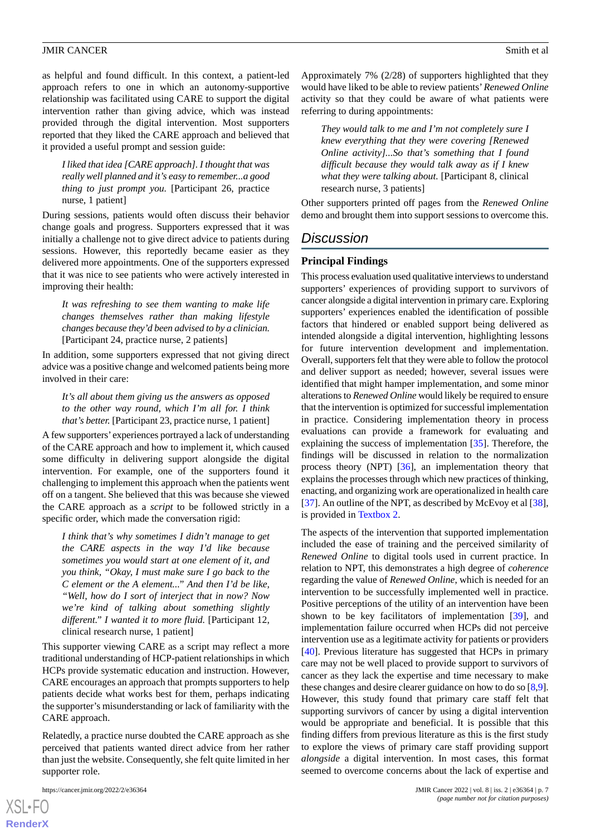as helpful and found difficult. In this context, a patient-led approach refers to one in which an autonomy-supportive relationship was facilitated using CARE to support the digital intervention rather than giving advice, which was instead provided through the digital intervention. Most supporters reported that they liked the CARE approach and believed that it provided a useful prompt and session guide:

*I liked that idea [CARE approach]. I thought that was really well planned and it's easy to remember...a good thing to just prompt you.* [Participant 26, practice nurse, 1 patient]

During sessions, patients would often discuss their behavior change goals and progress. Supporters expressed that it was initially a challenge not to give direct advice to patients during sessions. However, this reportedly became easier as they delivered more appointments. One of the supporters expressed that it was nice to see patients who were actively interested in improving their health:

*It was refreshing to see them wanting to make life changes themselves rather than making lifestyle changes because they'd been advised to by a clinician.* [Participant 24, practice nurse, 2 patients]

In addition, some supporters expressed that not giving direct advice was a positive change and welcomed patients being more involved in their care:

*It's all about them giving us the answers as opposed to the other way round, which I'm all for. I think that's better.* [Participant 23, practice nurse, 1 patient]

A few supporters' experiences portrayed a lack of understanding of the CARE approach and how to implement it, which caused some difficulty in delivering support alongside the digital intervention. For example, one of the supporters found it challenging to implement this approach when the patients went off on a tangent. She believed that this was because she viewed the CARE approach as a *script* to be followed strictly in a specific order, which made the conversation rigid:

*I think that's why sometimes I didn't manage to get the CARE aspects in the way I'd like because sometimes you would start at one element of it, and you think, "Okay, I must make sure I go back to the C element or the A element..." And then I'd be like, "Well, how do I sort of interject that in now? Now we're kind of talking about something slightly different." I wanted it to more fluid.* [Participant 12, clinical research nurse, 1 patient]

This supporter viewing CARE as a script may reflect a more traditional understanding of HCP-patient relationships in which HCPs provide systematic education and instruction. However, CARE encourages an approach that prompts supporters to help patients decide what works best for them, perhaps indicating the supporter's misunderstanding or lack of familiarity with the CARE approach.

Relatedly, a practice nurse doubted the CARE approach as she perceived that patients wanted direct advice from her rather than just the website. Consequently, she felt quite limited in her supporter role.

[XSL](http://www.w3.org/Style/XSL)•FO **[RenderX](http://www.renderx.com/)** Approximately 7% (2/28) of supporters highlighted that they would have liked to be able to review patients'*Renewed Online* activity so that they could be aware of what patients were referring to during appointments:

*They would talk to me and I'm not completely sure I knew everything that they were covering [Renewed Online activity]...So that's something that I found difficult because they would talk away as if I knew what they were talking about.* [Participant 8, clinical research nurse, 3 patients]

Other supporters printed off pages from the *Renewed Online* demo and brought them into support sessions to overcome this.

# *Discussion*

#### **Principal Findings**

This process evaluation used qualitative interviews to understand supporters' experiences of providing support to survivors of cancer alongside a digital intervention in primary care. Exploring supporters' experiences enabled the identification of possible factors that hindered or enabled support being delivered as intended alongside a digital intervention, highlighting lessons for future intervention development and implementation. Overall, supporters felt that they were able to follow the protocol and deliver support as needed; however, several issues were identified that might hamper implementation, and some minor alterations to *Renewed Online* would likely be required to ensure that the intervention is optimized for successful implementation in practice. Considering implementation theory in process evaluations can provide a framework for evaluating and explaining the success of implementation [[35\]](#page-11-8). Therefore, the findings will be discussed in relation to the normalization process theory (NPT) [[36\]](#page-11-9), an implementation theory that explains the processes through which new practices of thinking, enacting, and organizing work are operationalized in health care [[37\]](#page-11-10). An outline of the NPT, as described by McEvoy et al [[38\]](#page-11-11), is provided in [Textbox 2.](#page-7-0)

The aspects of the intervention that supported implementation included the ease of training and the perceived similarity of *Renewed Online* to digital tools used in current practice. In relation to NPT, this demonstrates a high degree of *coherence* regarding the value of *Renewed Online*, which is needed for an intervention to be successfully implemented well in practice. Positive perceptions of the utility of an intervention have been shown to be key facilitators of implementation [[39\]](#page-11-12), and implementation failure occurred when HCPs did not perceive intervention use as a legitimate activity for patients or providers [[40\]](#page-11-13). Previous literature has suggested that HCPs in primary care may not be well placed to provide support to survivors of cancer as they lack the expertise and time necessary to make these changes and desire clearer guidance on how to do so [[8,](#page-10-2)[9](#page-10-3)]. However, this study found that primary care staff felt that supporting survivors of cancer by using a digital intervention would be appropriate and beneficial. It is possible that this finding differs from previous literature as this is the first study to explore the views of primary care staff providing support *alongside* a digital intervention. In most cases, this format seemed to overcome concerns about the lack of expertise and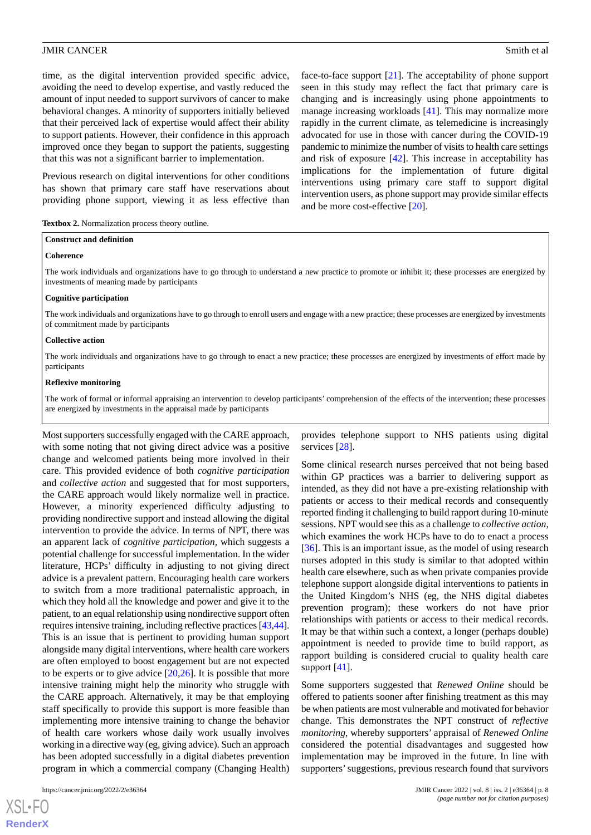time, as the digital intervention provided specific advice, avoiding the need to develop expertise, and vastly reduced the amount of input needed to support survivors of cancer to make behavioral changes. A minority of supporters initially believed that their perceived lack of expertise would affect their ability to support patients. However, their confidence in this approach improved once they began to support the patients, suggesting that this was not a significant barrier to implementation.

Previous research on digital interventions for other conditions has shown that primary care staff have reservations about providing phone support, viewing it as less effective than

face-to-face support [\[21](#page-10-17)]. The acceptability of phone support seen in this study may reflect the fact that primary care is changing and is increasingly using phone appointments to manage increasing workloads [[41\]](#page-11-14). This may normalize more rapidly in the current climate, as telemedicine is increasingly advocated for use in those with cancer during the COVID-19 pandemic to minimize the number of visits to health care settings and risk of exposure [[42\]](#page-11-15). This increase in acceptability has implications for the implementation of future digital interventions using primary care staff to support digital intervention users, as phone support may provide similar effects and be more cost-effective [\[20](#page-10-12)].

<span id="page-7-0"></span>

| Textbox 2. Normalization process theory outline. |  |  |  |
|--------------------------------------------------|--|--|--|
|--------------------------------------------------|--|--|--|

# **Construct and definition**

#### **Coherence**

The work individuals and organizations have to go through to understand a new practice to promote or inhibit it; these processes are energized by investments of meaning made by participants

#### **Cognitive participation**

The work individuals and organizations have to go through to enroll users and engage with a new practice; these processes are energized by investments of commitment made by participants

#### **Collective action**

The work individuals and organizations have to go through to enact a new practice; these processes are energized by investments of effort made by participants

#### **Reflexive monitoring**

The work of formal or informal appraising an intervention to develop participants' comprehension of the effects of the intervention; these processes are energized by investments in the appraisal made by participants

Most supporters successfully engaged with the CARE approach, with some noting that not giving direct advice was a positive change and welcomed patients being more involved in their care. This provided evidence of both *cognitive participation* and *collective action* and suggested that for most supporters, the CARE approach would likely normalize well in practice. However, a minority experienced difficulty adjusting to providing nondirective support and instead allowing the digital intervention to provide the advice. In terms of NPT, there was an apparent lack of *cognitive participation,* which suggests a potential challenge for successful implementation. In the wider literature, HCPs' difficulty in adjusting to not giving direct advice is a prevalent pattern. Encouraging health care workers to switch from a more traditional paternalistic approach, in which they hold all the knowledge and power and give it to the patient, to an equal relationship using nondirective support often requires intensive training, including reflective practices [\[43,](#page-11-16)[44\]](#page-11-17). This is an issue that is pertinent to providing human support alongside many digital interventions, where health care workers are often employed to boost engagement but are not expected to be experts or to give advice [\[20](#page-10-12),[26\]](#page-10-16). It is possible that more intensive training might help the minority who struggle with the CARE approach. Alternatively, it may be that employing staff specifically to provide this support is more feasible than implementing more intensive training to change the behavior of health care workers whose daily work usually involves working in a directive way (eg, giving advice). Such an approach has been adopted successfully in a digital diabetes prevention program in which a commercial company (Changing Health)

provides telephone support to NHS patients using digital services [[28\]](#page-11-1).

Some clinical research nurses perceived that not being based within GP practices was a barrier to delivering support as intended, as they did not have a pre-existing relationship with patients or access to their medical records and consequently reported finding it challenging to build rapport during 10-minute sessions. NPT would see this as a challenge to *collective action,* which examines the work HCPs have to do to enact a process [[36\]](#page-11-9). This is an important issue, as the model of using research nurses adopted in this study is similar to that adopted within health care elsewhere, such as when private companies provide telephone support alongside digital interventions to patients in the United Kingdom's NHS (eg, the NHS digital diabetes prevention program); these workers do not have prior relationships with patients or access to their medical records. It may be that within such a context, a longer (perhaps double) appointment is needed to provide time to build rapport, as rapport building is considered crucial to quality health care support [[41\]](#page-11-14).

Some supporters suggested that *Renewed Online* should be offered to patients sooner after finishing treatment as this may be when patients are most vulnerable and motivated for behavior change. This demonstrates the NPT construct of *reflective monitoring*, whereby supporters' appraisal of *Renewed Online* considered the potential disadvantages and suggested how implementation may be improved in the future. In line with supporters'suggestions, previous research found that survivors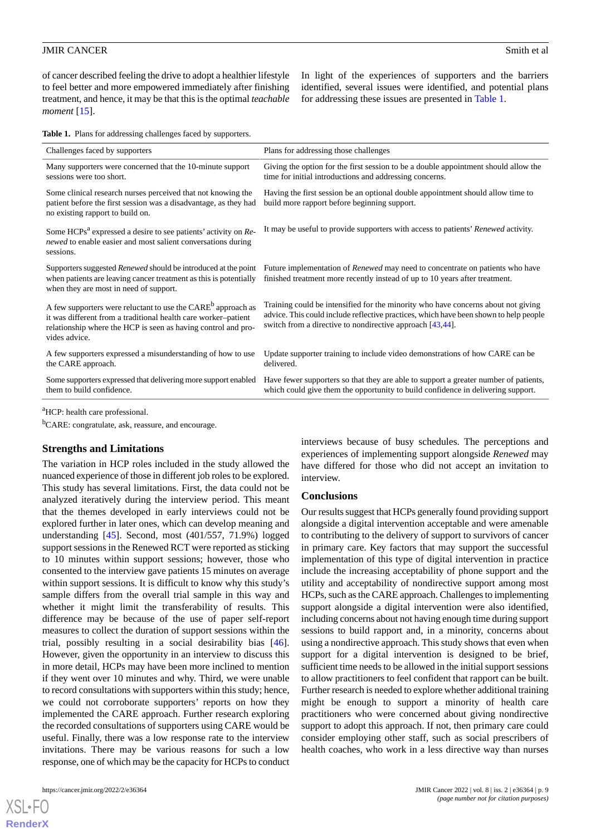of cancer described feeling the drive to adopt a healthier lifestyle to feel better and more empowered immediately after finishing treatment, and hence, it may be that this is the optimal *teachable moment* [\[15](#page-10-18)].

In light of the experiences of supporters and the barriers identified, several issues were identified, and potential plans for addressing these issues are presented in [Table 1.](#page-8-0)

<span id="page-8-0"></span>**Table 1.** Plans for addressing challenges faced by supporters.

| Challenges faced by supporters                                                                                                                                                                                               | Plans for addressing those challenges                                                                                                                                                                                                   |
|------------------------------------------------------------------------------------------------------------------------------------------------------------------------------------------------------------------------------|-----------------------------------------------------------------------------------------------------------------------------------------------------------------------------------------------------------------------------------------|
| Many supporters were concerned that the 10-minute support<br>sessions were too short.                                                                                                                                        | Giving the option for the first session to be a double appointment should allow the<br>time for initial introductions and addressing concerns.                                                                                          |
| Some clinical research nurses perceived that not knowing the<br>patient before the first session was a disadvantage, as they had<br>no existing rapport to build on.                                                         | Having the first session be an optional double appointment should allow time to<br>build more rapport before beginning support.                                                                                                         |
| Some HCPs <sup>a</sup> expressed a desire to see patients' activity on Re-<br>newed to enable easier and most salient conversations during<br>sessions.                                                                      | It may be useful to provide supporters with access to patients' Renewed activity.                                                                                                                                                       |
| Supporters suggested Renewed should be introduced at the point<br>when patients are leaving cancer treatment as this is potentially<br>when they are most in need of support.                                                | Future implementation of <i>Renewed</i> may need to concentrate on patients who have<br>finished treatment more recently instead of up to 10 years after treatment.                                                                     |
| A few supporters were reluctant to use the CARE <sup>b</sup> approach as<br>it was different from a traditional health care worker-patient<br>relationship where the HCP is seen as having control and pro-<br>vides advice. | Training could be intensified for the minority who have concerns about not giving<br>advice. This could include reflective practices, which have been shown to help people<br>switch from a directive to nondirective approach [43,44]. |
| A few supporters expressed a misunderstanding of how to use<br>the CARE approach.                                                                                                                                            | Update supporter training to include video demonstrations of how CARE can be<br>delivered.                                                                                                                                              |
| Some supporters expressed that delivering more support enabled<br>them to build confidence.                                                                                                                                  | Have fewer supporters so that they are able to support a greater number of patients,<br>which could give them the opportunity to build confidence in delivering support.                                                                |
|                                                                                                                                                                                                                              |                                                                                                                                                                                                                                         |

<sup>a</sup>HCP: health care professional.

<sup>b</sup>CARE: congratulate, ask, reassure, and encourage.

#### **Strengths and Limitations**

The variation in HCP roles included in the study allowed the nuanced experience of those in different job roles to be explored. This study has several limitations. First, the data could not be analyzed iteratively during the interview period. This meant that the themes developed in early interviews could not be explored further in later ones, which can develop meaning and understanding [[45\]](#page-11-18). Second, most (401/557, 71.9%) logged support sessions in the Renewed RCT were reported as sticking to 10 minutes within support sessions; however, those who consented to the interview gave patients 15 minutes on average within support sessions. It is difficult to know why this study's sample differs from the overall trial sample in this way and whether it might limit the transferability of results. This difference may be because of the use of paper self-report measures to collect the duration of support sessions within the trial, possibly resulting in a social desirability bias [[46\]](#page-11-19). However, given the opportunity in an interview to discuss this in more detail, HCPs may have been more inclined to mention if they went over 10 minutes and why. Third, we were unable to record consultations with supporters within this study; hence, we could not corroborate supporters' reports on how they implemented the CARE approach. Further research exploring the recorded consultations of supporters using CARE would be useful. Finally, there was a low response rate to the interview invitations. There may be various reasons for such a low response, one of which may be the capacity for HCPs to conduct

[XSL](http://www.w3.org/Style/XSL)•FO **[RenderX](http://www.renderx.com/)**

interviews because of busy schedules. The perceptions and experiences of implementing support alongside *Renewed* may have differed for those who did not accept an invitation to interview.

#### **Conclusions**

Our results suggest that HCPs generally found providing support alongside a digital intervention acceptable and were amenable to contributing to the delivery of support to survivors of cancer in primary care. Key factors that may support the successful implementation of this type of digital intervention in practice include the increasing acceptability of phone support and the utility and acceptability of nondirective support among most HCPs, such as the CARE approach. Challenges to implementing support alongside a digital intervention were also identified, including concerns about not having enough time during support sessions to build rapport and, in a minority, concerns about using a nondirective approach. This study shows that even when support for a digital intervention is designed to be brief, sufficient time needs to be allowed in the initial support sessions to allow practitioners to feel confident that rapport can be built. Further research is needed to explore whether additional training might be enough to support a minority of health care practitioners who were concerned about giving nondirective support to adopt this approach. If not, then primary care could consider employing other staff, such as social prescribers of health coaches, who work in a less directive way than nurses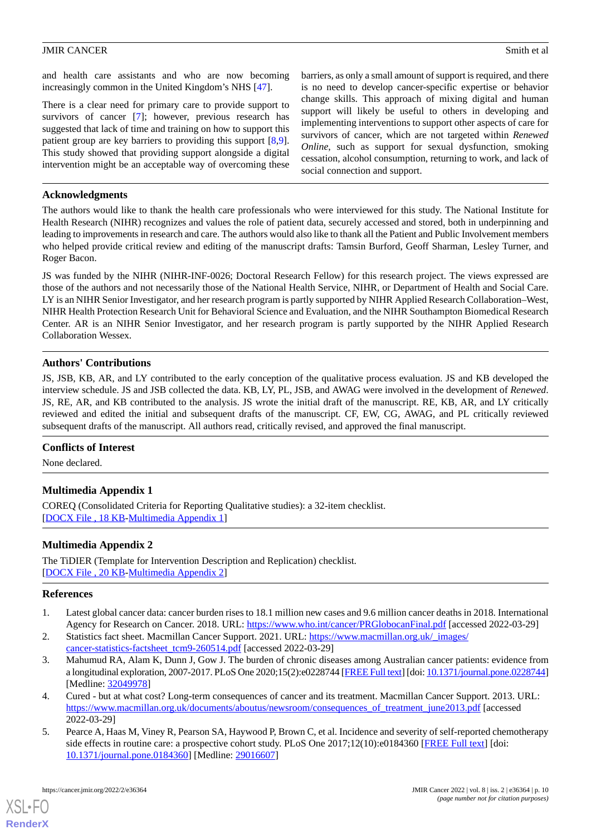and health care assistants and who are now becoming increasingly common in the United Kingdom's NHS [[47\]](#page-11-20).

There is a clear need for primary care to provide support to survivors of cancer [\[7](#page-10-1)]; however, previous research has suggested that lack of time and training on how to support this patient group are key barriers to providing this support [\[8](#page-10-2),[9\]](#page-10-3). This study showed that providing support alongside a digital intervention might be an acceptable way of overcoming these

barriers, as only a small amount of support is required, and there is no need to develop cancer-specific expertise or behavior change skills. This approach of mixing digital and human support will likely be useful to others in developing and implementing interventions to support other aspects of care for survivors of cancer, which are not targeted within *Renewed Online*, such as support for sexual dysfunction, smoking cessation, alcohol consumption, returning to work, and lack of social connection and support.

# **Acknowledgments**

The authors would like to thank the health care professionals who were interviewed for this study. The National Institute for Health Research (NIHR) recognizes and values the role of patient data, securely accessed and stored, both in underpinning and leading to improvements in research and care. The authors would also like to thank all the Patient and Public Involvement members who helped provide critical review and editing of the manuscript drafts: Tamsin Burford, Geoff Sharman, Lesley Turner, and Roger Bacon.

JS was funded by the NIHR (NIHR-INF-0026; Doctoral Research Fellow) for this research project. The views expressed are those of the authors and not necessarily those of the National Health Service, NIHR, or Department of Health and Social Care. LY is an NIHR Senior Investigator, and her research program is partly supported by NIHR Applied Research Collaboration–West, NIHR Health Protection Research Unit for Behavioral Science and Evaluation, and the NIHR Southampton Biomedical Research Center. AR is an NIHR Senior Investigator, and her research program is partly supported by the NIHR Applied Research Collaboration Wessex.

# **Authors' Contributions**

JS, JSB, KB, AR, and LY contributed to the early conception of the qualitative process evaluation. JS and KB developed the interview schedule. JS and JSB collected the data. KB, LY, PL, JSB, and AWAG were involved in the development of *Renewed*. JS, RE, AR, and KB contributed to the analysis. JS wrote the initial draft of the manuscript. RE, KB, AR, and LY critically reviewed and edited the initial and subsequent drafts of the manuscript. CF, EW, CG, AWAG, and PL critically reviewed subsequent drafts of the manuscript. All authors read, critically revised, and approved the final manuscript.

# <span id="page-9-5"></span>**Conflicts of Interest**

None declared.

# <span id="page-9-6"></span>**Multimedia Appendix 1**

COREQ (Consolidated Criteria for Reporting Qualitative studies): a 32-item checklist. [[DOCX File , 18 KB](https://jmir.org/api/download?alt_name=cancer_v8i2e36364_app1.docx&filename=6c581765a25a5cd0e3da7ebee81aab7f.docx)-[Multimedia Appendix 1\]](https://jmir.org/api/download?alt_name=cancer_v8i2e36364_app1.docx&filename=6c581765a25a5cd0e3da7ebee81aab7f.docx)

# <span id="page-9-0"></span>**Multimedia Appendix 2**

<span id="page-9-1"></span>The TiDIER (Template for Intervention Description and Replication) checklist. [[DOCX File , 20 KB](https://jmir.org/api/download?alt_name=cancer_v8i2e36364_app2.docx&filename=20e28e19aa9889721698fc9886b1384b.docx)-[Multimedia Appendix 2\]](https://jmir.org/api/download?alt_name=cancer_v8i2e36364_app2.docx&filename=20e28e19aa9889721698fc9886b1384b.docx)

# <span id="page-9-2"></span>**References**

- 1. Latest global cancer data: cancer burden rises to 18.1 million new cases and 9.6 million cancer deaths in 2018. International Agency for Research on Cancer. 2018. URL: <https://www.who.int/cancer/PRGlobocanFinal.pdf> [accessed 2022-03-29]
- <span id="page-9-4"></span>2. Statistics fact sheet. Macmillan Cancer Support. 2021. URL: https://www.macmillan.org.uk/ images/ [cancer-statistics-factsheet\\_tcm9-260514.pdf](https://www.macmillan.org.uk/_images/cancer-statistics-factsheet_tcm9-260514.pdf) [accessed 2022-03-29]
- <span id="page-9-3"></span>3. Mahumud RA, Alam K, Dunn J, Gow J. The burden of chronic diseases among Australian cancer patients: evidence from a longitudinal exploration, 2007-2017. PLoS One 2020;15(2):e0228744 [\[FREE Full text\]](https://dx.plos.org/10.1371/journal.pone.0228744) [doi: [10.1371/journal.pone.0228744\]](http://dx.doi.org/10.1371/journal.pone.0228744) [Medline: [32049978](http://www.ncbi.nlm.nih.gov/entrez/query.fcgi?cmd=Retrieve&db=PubMed&list_uids=32049978&dopt=Abstract)]
- 4. Cured but at what cost? Long-term consequences of cancer and its treatment. Macmillan Cancer Support. 2013. URL: [https://www.macmillan.org.uk/documents/aboutus/newsroom/consequences\\_of\\_treatment\\_june2013.pdf](https://www.macmillan.org.uk/documents/aboutus/newsroom/consequences_of_treatment_june2013.pdf) [accessed 2022-03-29]
- 5. Pearce A, Haas M, Viney R, Pearson SA, Haywood P, Brown C, et al. Incidence and severity of self-reported chemotherapy side effects in routine care: a prospective cohort study. PLoS One 2017;12(10):e0184360 [[FREE Full text](https://dx.plos.org/10.1371/journal.pone.0184360)] [doi: [10.1371/journal.pone.0184360\]](http://dx.doi.org/10.1371/journal.pone.0184360) [Medline: [29016607](http://www.ncbi.nlm.nih.gov/entrez/query.fcgi?cmd=Retrieve&db=PubMed&list_uids=29016607&dopt=Abstract)]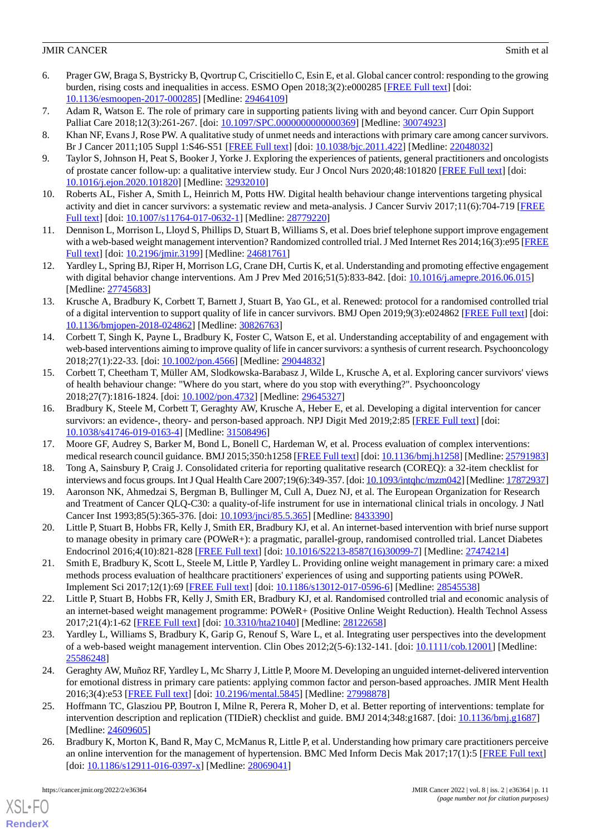- <span id="page-10-0"></span>6. Prager GW, Braga S, Bystricky B, Qvortrup C, Criscitiello C, Esin E, et al. Global cancer control: responding to the growing burden, rising costs and inequalities in access. ESMO Open 2018;3(2):e000285 [\[FREE Full text\]](https://linkinghub.elsevier.com/retrieve/pii/S2059-7029(20)32335-8) [doi: [10.1136/esmoopen-2017-000285](http://dx.doi.org/10.1136/esmoopen-2017-000285)] [Medline: [29464109\]](http://www.ncbi.nlm.nih.gov/entrez/query.fcgi?cmd=Retrieve&db=PubMed&list_uids=29464109&dopt=Abstract)
- <span id="page-10-2"></span><span id="page-10-1"></span>7. Adam R, Watson E. The role of primary care in supporting patients living with and beyond cancer. Curr Opin Support Palliat Care 2018;12(3):261-267. [doi: 10.1097/SPC.00000000000000369] [Medline: [30074923](http://www.ncbi.nlm.nih.gov/entrez/query.fcgi?cmd=Retrieve&db=PubMed&list_uids=30074923&dopt=Abstract)]
- <span id="page-10-3"></span>8. Khan NF, Evans J, Rose PW. A qualitative study of unmet needs and interactions with primary care among cancer survivors. Br J Cancer 2011;105 Suppl 1:S46-S51 [\[FREE Full text\]](http://europepmc.org/abstract/MED/22048032) [doi: [10.1038/bjc.2011.422\]](http://dx.doi.org/10.1038/bjc.2011.422) [Medline: [22048032](http://www.ncbi.nlm.nih.gov/entrez/query.fcgi?cmd=Retrieve&db=PubMed&list_uids=22048032&dopt=Abstract)]
- <span id="page-10-4"></span>9. Taylor S, Johnson H, Peat S, Booker J, Yorke J. Exploring the experiences of patients, general practitioners and oncologists of prostate cancer follow-up: a qualitative interview study. Eur J Oncol Nurs 2020;48:101820 [[FREE Full text\]](http://europepmc.org/abstract/MED/32932010) [doi: [10.1016/j.ejon.2020.101820](http://dx.doi.org/10.1016/j.ejon.2020.101820)] [Medline: [32932010](http://www.ncbi.nlm.nih.gov/entrez/query.fcgi?cmd=Retrieve&db=PubMed&list_uids=32932010&dopt=Abstract)]
- <span id="page-10-5"></span>10. Roberts AL, Fisher A, Smith L, Heinrich M, Potts HW. Digital health behaviour change interventions targeting physical activity and diet in cancer survivors: a systematic review and meta-analysis. J Cancer Surviv 2017;11(6):704-719 [\[FREE](http://europepmc.org/abstract/MED/28779220) [Full text\]](http://europepmc.org/abstract/MED/28779220) [doi: [10.1007/s11764-017-0632-1](http://dx.doi.org/10.1007/s11764-017-0632-1)] [Medline: [28779220](http://www.ncbi.nlm.nih.gov/entrez/query.fcgi?cmd=Retrieve&db=PubMed&list_uids=28779220&dopt=Abstract)]
- <span id="page-10-6"></span>11. Dennison L, Morrison L, Lloyd S, Phillips D, Stuart B, Williams S, et al. Does brief telephone support improve engagement with a web-based weight management intervention? Randomized controlled trial. J Med Internet Res 2014;16(3):e95 [[FREE](https://www.jmir.org/2014/3/e95/) [Full text\]](https://www.jmir.org/2014/3/e95/) [doi: [10.2196/jmir.3199](http://dx.doi.org/10.2196/jmir.3199)] [Medline: [24681761\]](http://www.ncbi.nlm.nih.gov/entrez/query.fcgi?cmd=Retrieve&db=PubMed&list_uids=24681761&dopt=Abstract)
- <span id="page-10-7"></span>12. Yardley L, Spring BJ, Riper H, Morrison LG, Crane DH, Curtis K, et al. Understanding and promoting effective engagement with digital behavior change interventions. Am J Prev Med 2016;51(5):833-842. [doi: [10.1016/j.amepre.2016.06.015\]](http://dx.doi.org/10.1016/j.amepre.2016.06.015) [Medline: [27745683](http://www.ncbi.nlm.nih.gov/entrez/query.fcgi?cmd=Retrieve&db=PubMed&list_uids=27745683&dopt=Abstract)]
- 13. Krusche A, Bradbury K, Corbett T, Barnett J, Stuart B, Yao GL, et al. Renewed: protocol for a randomised controlled trial of a digital intervention to support quality of life in cancer survivors. BMJ Open 2019;9(3):e024862 [\[FREE Full text](https://bmjopen.bmj.com/lookup/pmidlookup?view=long&pmid=30826763)] [doi: [10.1136/bmjopen-2018-024862\]](http://dx.doi.org/10.1136/bmjopen-2018-024862) [Medline: [30826763](http://www.ncbi.nlm.nih.gov/entrez/query.fcgi?cmd=Retrieve&db=PubMed&list_uids=30826763&dopt=Abstract)]
- <span id="page-10-18"></span>14. Corbett T, Singh K, Payne L, Bradbury K, Foster C, Watson E, et al. Understanding acceptability of and engagement with web-based interventions aiming to improve quality of life in cancer survivors: a synthesis of current research. Psychooncology 2018;27(1):22-33. [doi: [10.1002/pon.4566](http://dx.doi.org/10.1002/pon.4566)] [Medline: [29044832](http://www.ncbi.nlm.nih.gov/entrez/query.fcgi?cmd=Retrieve&db=PubMed&list_uids=29044832&dopt=Abstract)]
- <span id="page-10-8"></span>15. Corbett T, Cheetham T, Müller AM, Slodkowska-Barabasz J, Wilde L, Krusche A, et al. Exploring cancer survivors' views of health behaviour change: "Where do you start, where do you stop with everything?". Psychooncology 2018;27(7):1816-1824. [doi: [10.1002/pon.4732](http://dx.doi.org/10.1002/pon.4732)] [Medline: [29645327](http://www.ncbi.nlm.nih.gov/entrez/query.fcgi?cmd=Retrieve&db=PubMed&list_uids=29645327&dopt=Abstract)]
- <span id="page-10-10"></span><span id="page-10-9"></span>16. Bradbury K, Steele M, Corbett T, Geraghty AW, Krusche A, Heber E, et al. Developing a digital intervention for cancer survivors: an evidence-, theory- and person-based approach. NPJ Digit Med 2019;2:85 [[FREE Full text](https://doi.org/10.1038/s41746-019-0163-4)] [doi: [10.1038/s41746-019-0163-4\]](http://dx.doi.org/10.1038/s41746-019-0163-4) [Medline: [31508496](http://www.ncbi.nlm.nih.gov/entrez/query.fcgi?cmd=Retrieve&db=PubMed&list_uids=31508496&dopt=Abstract)]
- <span id="page-10-11"></span>17. Moore GF, Audrey S, Barker M, Bond L, Bonell C, Hardeman W, et al. Process evaluation of complex interventions: medical research council guidance. BMJ 2015;350:h1258 [\[FREE Full text](http://www.bmj.com/lookup/pmidlookup?view=long&pmid=25791983)] [doi: [10.1136/bmj.h1258\]](http://dx.doi.org/10.1136/bmj.h1258) [Medline: [25791983](http://www.ncbi.nlm.nih.gov/entrez/query.fcgi?cmd=Retrieve&db=PubMed&list_uids=25791983&dopt=Abstract)]
- <span id="page-10-12"></span>18. Tong A, Sainsbury P, Craig J. Consolidated criteria for reporting qualitative research (COREQ): a 32-item checklist for interviews and focus groups. Int J Qual Health Care 2007;19(6):349-357. [doi: [10.1093/intqhc/mzm042\]](http://dx.doi.org/10.1093/intqhc/mzm042) [Medline: [17872937\]](http://www.ncbi.nlm.nih.gov/entrez/query.fcgi?cmd=Retrieve&db=PubMed&list_uids=17872937&dopt=Abstract)
- <span id="page-10-17"></span>19. Aaronson NK, Ahmedzai S, Bergman B, Bullinger M, Cull A, Duez NJ, et al. The European Organization for Research and Treatment of Cancer QLQ-C30: a quality-of-life instrument for use in international clinical trials in oncology. J Natl Cancer Inst 1993;85(5):365-376. [doi: [10.1093/jnci/85.5.365\]](http://dx.doi.org/10.1093/jnci/85.5.365) [Medline: [8433390\]](http://www.ncbi.nlm.nih.gov/entrez/query.fcgi?cmd=Retrieve&db=PubMed&list_uids=8433390&dopt=Abstract)
- 20. Little P, Stuart B, Hobbs FR, Kelly J, Smith ER, Bradbury KJ, et al. An internet-based intervention with brief nurse support to manage obesity in primary care (POWeR+): a pragmatic, parallel-group, randomised controlled trial. Lancet Diabetes Endocrinol 2016;4(10):821-828 [[FREE Full text](https://linkinghub.elsevier.com/retrieve/pii/S2213-8587(16)30099-7)] [doi: [10.1016/S2213-8587\(16\)30099-7\]](http://dx.doi.org/10.1016/S2213-8587(16)30099-7) [Medline: [27474214](http://www.ncbi.nlm.nih.gov/entrez/query.fcgi?cmd=Retrieve&db=PubMed&list_uids=27474214&dopt=Abstract)]
- <span id="page-10-13"></span>21. Smith E, Bradbury K, Scott L, Steele M, Little P, Yardley L. Providing online weight management in primary care: a mixed methods process evaluation of healthcare practitioners' experiences of using and supporting patients using POWeR. Implement Sci 2017;12(1):69 [[FREE Full text](https://implementationscience.biomedcentral.com/articles/10.1186/s13012-017-0596-6)] [doi: [10.1186/s13012-017-0596-6](http://dx.doi.org/10.1186/s13012-017-0596-6)] [Medline: [28545538](http://www.ncbi.nlm.nih.gov/entrez/query.fcgi?cmd=Retrieve&db=PubMed&list_uids=28545538&dopt=Abstract)]
- <span id="page-10-14"></span>22. Little P, Stuart B, Hobbs FR, Kelly J, Smith ER, Bradbury KJ, et al. Randomised controlled trial and economic analysis of an internet-based weight management programme: POWeR+ (Positive Online Weight Reduction). Health Technol Assess 2017;21(4):1-62 [[FREE Full text](https://doi.org/10.3310/hta21040)] [doi: [10.3310/hta21040](http://dx.doi.org/10.3310/hta21040)] [Medline: [28122658\]](http://www.ncbi.nlm.nih.gov/entrez/query.fcgi?cmd=Retrieve&db=PubMed&list_uids=28122658&dopt=Abstract)
- <span id="page-10-15"></span>23. Yardley L, Williams S, Bradbury K, Garip G, Renouf S, Ware L, et al. Integrating user perspectives into the development of a web-based weight management intervention. Clin Obes 2012;2(5-6):132-141. [doi: [10.1111/cob.12001\]](http://dx.doi.org/10.1111/cob.12001) [Medline: [25586248](http://www.ncbi.nlm.nih.gov/entrez/query.fcgi?cmd=Retrieve&db=PubMed&list_uids=25586248&dopt=Abstract)]
- <span id="page-10-16"></span>24. Geraghty AW, Muñoz RF, Yardley L, Mc Sharry J, Little P, Moore M. Developing an unguided internet-delivered intervention for emotional distress in primary care patients: applying common factor and person-based approaches. JMIR Ment Health 2016;3(4):e53 [\[FREE Full text](https://mental.jmir.org/2016/4/e53/)] [doi: [10.2196/mental.5845\]](http://dx.doi.org/10.2196/mental.5845) [Medline: [27998878](http://www.ncbi.nlm.nih.gov/entrez/query.fcgi?cmd=Retrieve&db=PubMed&list_uids=27998878&dopt=Abstract)]
- 25. Hoffmann TC, Glasziou PP, Boutron I, Milne R, Perera R, Moher D, et al. Better reporting of interventions: template for intervention description and replication (TIDieR) checklist and guide. BMJ 2014;348:g1687. [doi: [10.1136/bmj.g1687](http://dx.doi.org/10.1136/bmj.g1687)] [Medline: [24609605](http://www.ncbi.nlm.nih.gov/entrez/query.fcgi?cmd=Retrieve&db=PubMed&list_uids=24609605&dopt=Abstract)]
- 26. Bradbury K, Morton K, Band R, May C, McManus R, Little P, et al. Understanding how primary care practitioners perceive an online intervention for the management of hypertension. BMC Med Inform Decis Mak 2017;17(1):5 [\[FREE Full text\]](https://bmcmedinformdecismak.biomedcentral.com/articles/10.1186/s12911-016-0397-x) [doi: [10.1186/s12911-016-0397-x](http://dx.doi.org/10.1186/s12911-016-0397-x)] [Medline: [28069041\]](http://www.ncbi.nlm.nih.gov/entrez/query.fcgi?cmd=Retrieve&db=PubMed&list_uids=28069041&dopt=Abstract)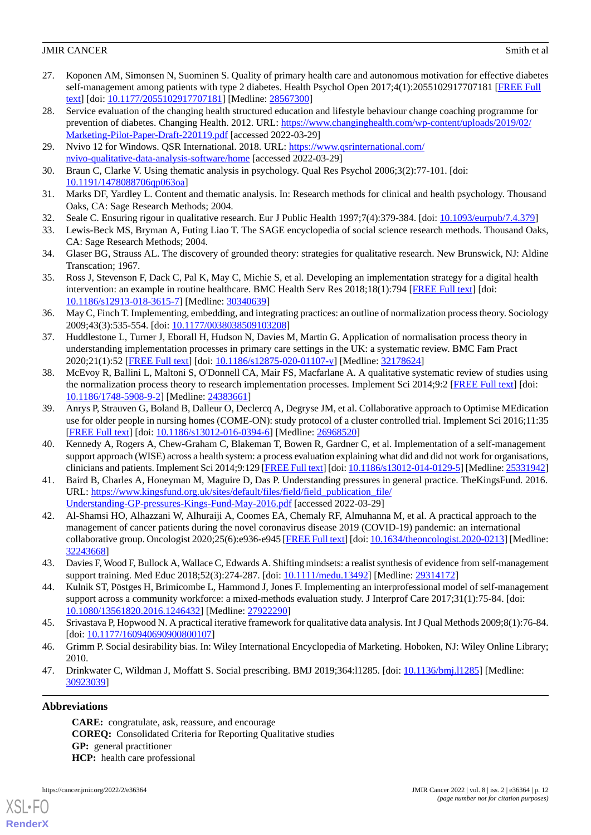- <span id="page-11-0"></span>27. Koponen AM, Simonsen N, Suominen S. Quality of primary health care and autonomous motivation for effective diabetes self-management among patients with type 2 diabetes. Health Psychol Open 2017;4(1):2055102917707181 [\[FREE Full](https://journals.sagepub.com/doi/10.1177/2055102917707181?url_ver=Z39.88-2003&rfr_id=ori:rid:crossref.org&rfr_dat=cr_pub%3dpubmed) [text](https://journals.sagepub.com/doi/10.1177/2055102917707181?url_ver=Z39.88-2003&rfr_id=ori:rid:crossref.org&rfr_dat=cr_pub%3dpubmed)] [doi: [10.1177/2055102917707181\]](http://dx.doi.org/10.1177/2055102917707181) [Medline: [28567300\]](http://www.ncbi.nlm.nih.gov/entrez/query.fcgi?cmd=Retrieve&db=PubMed&list_uids=28567300&dopt=Abstract)
- <span id="page-11-1"></span>28. Service evaluation of the changing health structured education and lifestyle behaviour change coaching programme for prevention of diabetes. Changing Health. 2012. URL: [https://www.changinghealth.com/wp-content/uploads/2019/02/](https://www.changinghealth.com/wp-content/uploads/2019/02/Marketing-Pilot-Paper-Draft-220119.pdf) [Marketing-Pilot-Paper-Draft-220119.pdf](https://www.changinghealth.com/wp-content/uploads/2019/02/Marketing-Pilot-Paper-Draft-220119.pdf) [accessed 2022-03-29]
- <span id="page-11-3"></span><span id="page-11-2"></span>29. Nvivo 12 for Windows. QSR International. 2018. URL: [https://www.qsrinternational.com/](https://www.qsrinternational.com/nvivo-qualitative-data-analysis-software/home) [nvivo-qualitative-data-analysis-software/home](https://www.qsrinternational.com/nvivo-qualitative-data-analysis-software/home) [accessed 2022-03-29]
- <span id="page-11-4"></span>30. Braun C, Clarke V. Using thematic analysis in psychology. Qual Res Psychol 2006;3(2):77-101. [doi: [10.1191/1478088706qp063oa](http://dx.doi.org/10.1191/1478088706qp063oa)]
- <span id="page-11-5"></span>31. Marks DF, Yardley L. Content and thematic analysis. In: Research methods for clinical and health psychology. Thousand Oaks, CA: Sage Research Methods; 2004.
- <span id="page-11-6"></span>32. Seale C. Ensuring rigour in qualitative research. Eur J Public Health 1997;7(4):379-384. [doi: [10.1093/eurpub/7.4.379](http://dx.doi.org/10.1093/eurpub/7.4.379)]
- <span id="page-11-7"></span>33. Lewis-Beck MS, Bryman A, Futing Liao T. The SAGE encyclopedia of social science research methods. Thousand Oaks, CA: Sage Research Methods; 2004.
- <span id="page-11-8"></span>34. Glaser BG, Strauss AL. The discovery of grounded theory: strategies for qualitative research. New Brunswick, NJ: Aldine Transcation; 1967.
- <span id="page-11-9"></span>35. Ross J, Stevenson F, Dack C, Pal K, May C, Michie S, et al. Developing an implementation strategy for a digital health intervention: an example in routine healthcare. BMC Health Serv Res 2018;18(1):794 [[FREE Full text](https://bmchealthservres.biomedcentral.com/articles/10.1186/s12913-018-3615-7)] [doi: [10.1186/s12913-018-3615-7\]](http://dx.doi.org/10.1186/s12913-018-3615-7) [Medline: [30340639](http://www.ncbi.nlm.nih.gov/entrez/query.fcgi?cmd=Retrieve&db=PubMed&list_uids=30340639&dopt=Abstract)]
- <span id="page-11-10"></span>36. May C, Finch T. Implementing, embedding, and integrating practices: an outline of normalization process theory. Sociology 2009;43(3):535-554. [doi: [10.1177/0038038509103208\]](http://dx.doi.org/10.1177/0038038509103208)
- <span id="page-11-11"></span>37. Huddlestone L, Turner J, Eborall H, Hudson N, Davies M, Martin G. Application of normalisation process theory in understanding implementation processes in primary care settings in the UK: a systematic review. BMC Fam Pract 2020;21(1):52 [[FREE Full text\]](https://bmcfampract.biomedcentral.com/articles/10.1186/s12875-020-01107-y) [doi: [10.1186/s12875-020-01107-y](http://dx.doi.org/10.1186/s12875-020-01107-y)] [Medline: [32178624](http://www.ncbi.nlm.nih.gov/entrez/query.fcgi?cmd=Retrieve&db=PubMed&list_uids=32178624&dopt=Abstract)]
- <span id="page-11-12"></span>38. McEvoy R, Ballini L, Maltoni S, O'Donnell CA, Mair FS, Macfarlane A. A qualitative systematic review of studies using the normalization process theory to research implementation processes. Implement Sci 2014;9:2 [\[FREE Full text](https://implementationscience.biomedcentral.com/articles/10.1186/1748-5908-9-2)] [doi: [10.1186/1748-5908-9-2\]](http://dx.doi.org/10.1186/1748-5908-9-2) [Medline: [24383661\]](http://www.ncbi.nlm.nih.gov/entrez/query.fcgi?cmd=Retrieve&db=PubMed&list_uids=24383661&dopt=Abstract)
- <span id="page-11-13"></span>39. Anrys P, Strauven G, Boland B, Dalleur O, Declercq A, Degryse JM, et al. Collaborative approach to Optimise MEdication use for older people in nursing homes (COME-ON): study protocol of a cluster controlled trial. Implement Sci 2016;11:35 [[FREE Full text](https://implementationscience.biomedcentral.com/articles/10.1186/s13012-016-0394-6)] [doi: [10.1186/s13012-016-0394-6\]](http://dx.doi.org/10.1186/s13012-016-0394-6) [Medline: [26968520](http://www.ncbi.nlm.nih.gov/entrez/query.fcgi?cmd=Retrieve&db=PubMed&list_uids=26968520&dopt=Abstract)]
- <span id="page-11-14"></span>40. Kennedy A, Rogers A, Chew-Graham C, Blakeman T, Bowen R, Gardner C, et al. Implementation of a self-management support approach (WISE) across a health system: a process evaluation explaining what did and did not work for organisations, clinicians and patients. Implement Sci 2014;9:129 [[FREE Full text](https://implementationscience.biomedcentral.com/articles/10.1186/s13012-014-0129-5)] [doi: [10.1186/s13012-014-0129-5\]](http://dx.doi.org/10.1186/s13012-014-0129-5) [Medline: [25331942](http://www.ncbi.nlm.nih.gov/entrez/query.fcgi?cmd=Retrieve&db=PubMed&list_uids=25331942&dopt=Abstract)]
- <span id="page-11-15"></span>41. Baird B, Charles A, Honeyman M, Maguire D, Das P. Understanding pressures in general practice. TheKingsFund. 2016. URL: [https://www.kingsfund.org.uk/sites/default/files/field/field\\_publication\\_file/](https://www.kingsfund.org.uk/sites/default/files/field/field_publication_file/Understanding-GP-pressures-Kings-Fund-May-2016.pdf) [Understanding-GP-pressures-Kings-Fund-May-2016.pdf](https://www.kingsfund.org.uk/sites/default/files/field/field_publication_file/Understanding-GP-pressures-Kings-Fund-May-2016.pdf) [accessed 2022-03-29]
- <span id="page-11-17"></span><span id="page-11-16"></span>42. Al-Shamsi HO, Alhazzani W, Alhuraiji A, Coomes EA, Chemaly RF, Almuhanna M, et al. A practical approach to the management of cancer patients during the novel coronavirus disease 2019 (COVID-19) pandemic: an international collaborative group. Oncologist 2020;25(6):e936-e945 [\[FREE Full text](https://academic.oup.com/oncolo/article-lookup/doi/10.1634/theoncologist.2020-0213)] [doi: [10.1634/theoncologist.2020-0213](http://dx.doi.org/10.1634/theoncologist.2020-0213)] [Medline: [32243668](http://www.ncbi.nlm.nih.gov/entrez/query.fcgi?cmd=Retrieve&db=PubMed&list_uids=32243668&dopt=Abstract)]
- <span id="page-11-18"></span>43. Davies F, Wood F, Bullock A, Wallace C, Edwards A. Shifting mindsets: a realist synthesis of evidence from self-management support training. Med Educ 2018;52(3):274-287. [doi: [10.1111/medu.13492\]](http://dx.doi.org/10.1111/medu.13492) [Medline: [29314172\]](http://www.ncbi.nlm.nih.gov/entrez/query.fcgi?cmd=Retrieve&db=PubMed&list_uids=29314172&dopt=Abstract)
- <span id="page-11-20"></span><span id="page-11-19"></span>44. Kulnik ST, Pöstges H, Brimicombe L, Hammond J, Jones F. Implementing an interprofessional model of self-management support across a community workforce: a mixed-methods evaluation study. J Interprof Care 2017;31(1):75-84. [doi: [10.1080/13561820.2016.1246432\]](http://dx.doi.org/10.1080/13561820.2016.1246432) [Medline: [27922290\]](http://www.ncbi.nlm.nih.gov/entrez/query.fcgi?cmd=Retrieve&db=PubMed&list_uids=27922290&dopt=Abstract)
- 45. Srivastava P, Hopwood N. A practical iterative framework for qualitative data analysis. Int J Qual Methods 2009;8(1):76-84. [doi: [10.1177/160940690900800107](http://dx.doi.org/10.1177/160940690900800107)]
- 46. Grimm P. Social desirability bias. In: Wiley International Encyclopedia of Marketing. Hoboken, NJ: Wiley Online Library; 2010.
- 47. Drinkwater C, Wildman J, Moffatt S. Social prescribing. BMJ 2019;364:l1285. [doi: [10.1136/bmj.l1285\]](http://dx.doi.org/10.1136/bmj.l1285) [Medline: [30923039](http://www.ncbi.nlm.nih.gov/entrez/query.fcgi?cmd=Retrieve&db=PubMed&list_uids=30923039&dopt=Abstract)]

# **Abbreviations**

[XSL](http://www.w3.org/Style/XSL)•FO **[RenderX](http://www.renderx.com/)**

**CARE:** congratulate, ask, reassure, and encourage **COREQ:** Consolidated Criteria for Reporting Qualitative studies **GP:** general practitioner **HCP:** health care professional